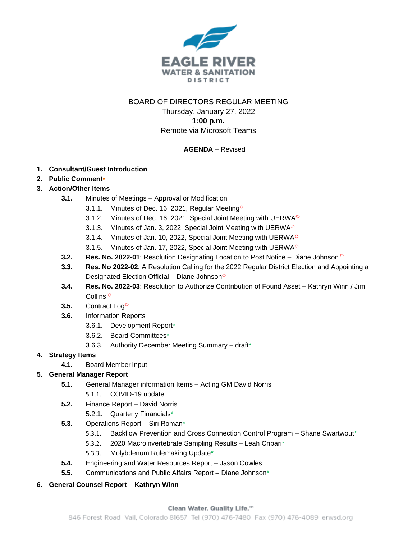

# BOARD OF DIRECTORS REGULAR MEETING

Thursday, January 27, 2022 **1:00 p.m.** Remote via Microsoft Teams

# **AGENDA** – Revised

### **1. Consultant/Guest Introduction**

**2. Public Comment•**

# **3. Action/Other Items**

- **3.1.** Minutes of Meetings Approval or Modification
	- 3.1.1. Minutes of Dec. 16, 2021, Regular Meeting $\ddot{\varphi}$
	- 3.1.2. Minutes of Dec. 16, 2021, Special Joint Meeting with UERWA
	- 3.1.3. Minutes of Jan. 3, 2022, Special Joint Meeting with UERWA $\ddot{\varphi}$
	- 3.1.4. Minutes of Jan. 10, 2022, Special Joint Meeting with UERWA $\ddot{\varphi}$
	- 3.1.5. Minutes of Jan. 17, 2022, Special Joint Meeting with UERWA $\ddot{\varphi}$
- **3.2. Res. No. 2022-01**: Resolution Designating Location to Post Notice Diane Johnson  $\ddot{\alpha}$
- **3.3. Res. No 2022-02**: A Resolution Calling for the 2022 Regular District Election and Appointing a Designated Election Official – Diane Johnson $\dot{\varphi}$
- **3.4. Res. No. 2022-03**: Resolution to Authorize Contribution of Found Asset Kathryn Winn / Jim Collins  $\overline{\mathfrak{S}}$
- **3.5.** Contract Log<sup>\*</sup>
- **3.6.** Information Reports
	- 3.6.1. Development Report\*
	- 3.6.2. Board Committees\*
	- 3.6.3. Authority December Meeting Summary draft\*

### **4. Strategy Items**

**4.1.** Board Member Input

# **5. General Manager Report**

- **5.1.** General Manager information Items Acting GM David Norris
	- 5.1.1. COVID-19 update
- **5.2.** Finance Report David Norris
	- 5.2.1. Quarterly Financials\*
- **5.3.** Operations Report Siri Roman\*
	- 5.3.1. Backflow Prevention and Cross Connection Control Program Shane Swartwout\*
	- 5.3.2. 2020 Macroinvertebrate Sampling Results Leah Cribari\*
	- 5.3.3. Molybdenum Rulemaking Update\*
- **5.4.** Engineering and Water Resources Report Jason Cowles
- **5.5.** Communications and Public Affairs Report Diane Johnson\*

### **6. General Counsel Report** – **Kathryn Winn**

#### Clean Water. Quality Life.<sup>74</sup>